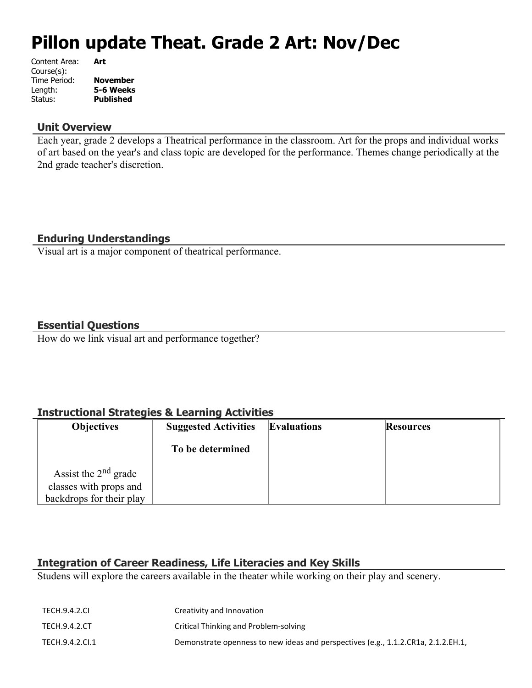# **Pillon update Theat. Grade 2 Art: Nov/Dec**

| Content Area: | Art              |
|---------------|------------------|
| Course(s):    |                  |
| Time Period:  | <b>November</b>  |
| Length:       | 5-6 Weeks        |
| Status:       | <b>Published</b> |
|               |                  |

## **Unit Overview**

Each year, grade 2 develops a Theatrical performance in the classroom. Art for the props and individual works of art based on the year's and class topic are developed for the performance. Themes change periodically at the 2nd grade teacher's discretion.

# **Enduring Understandings**

Visual art is a major component of theatrical performance.

## **Essential Questions**

How do we link visual art and performance together?

# **Instructional Strategies & Learning Activities**

| <b>Objectives</b>        | <b>Suggested Activities</b> | <b>Evaluations</b> | <b>Resources</b> |
|--------------------------|-----------------------------|--------------------|------------------|
|                          | To be determined            |                    |                  |
| Assist the $2nd$ grade   |                             |                    |                  |
| classes with props and   |                             |                    |                  |
| backdrops for their play |                             |                    |                  |

# **Integration of Career Readiness, Life Literacies and Key Skills**

Studens will explore the careers available in the theater while working on their play and scenery.

| TECH.9.4.2.CI   | Creativity and Innovation                                                         |
|-----------------|-----------------------------------------------------------------------------------|
| TECH.9.4.2.CT   | Critical Thinking and Problem-solving                                             |
| TECH.9.4.2.CI.1 | Demonstrate openness to new ideas and perspectives (e.g., 1.1.2.CR1a, 2.1.2.EH.1, |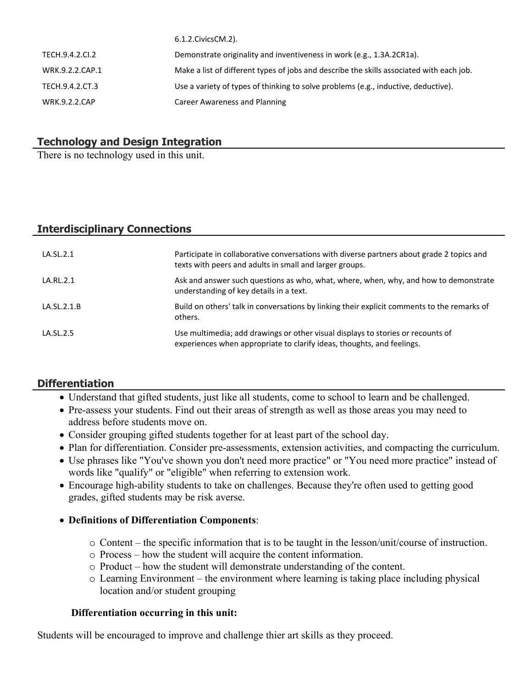|                      | 0.1.2. CIVICS CIVI. Z J.                                                                 |
|----------------------|------------------------------------------------------------------------------------------|
| TECH.9.4.2.CI.2      | Demonstrate originality and inventiveness in work (e.g., 1.3A.2CR1a).                    |
| WRK.9.2.2.CAP.1      | Make a list of different types of jobs and describe the skills associated with each job. |
| TECH.9.4.2.CT.3      | Use a variety of types of thinking to solve problems (e.g., inductive, deductive).       |
| <b>WRK.9.2.2.CAP</b> | Career Awareness and Planning                                                            |
|                      |                                                                                          |

 $6.1.2 \times 10^{-2}$ 

# **Technology and Design Integration**

There is no technology used in this unit.

# **Interdisciplinary Connections**

| LA.SL.2.1   | Participate in collaborative conversations with diverse partners about grade 2 topics and<br>texts with peers and adults in small and larger groups.      |
|-------------|-----------------------------------------------------------------------------------------------------------------------------------------------------------|
| LA.RL.2.1   | Ask and answer such questions as who, what, where, when, why, and how to demonstrate<br>understanding of key details in a text.                           |
| LA.SL.2.1.B | Build on others' talk in conversations by linking their explicit comments to the remarks of<br>others.                                                    |
| LA.SL.2.5   | Use multimedia; add drawings or other visual displays to stories or recounts of<br>experiences when appropriate to clarify ideas, thoughts, and feelings. |

## **Differentiation**

- Understand that gifted students, just like all students, come to school to learn and be challenged.
- Pre-assess your students. Find out their areas of strength as well as those areas you may need to address before students move on.
- Consider grouping gifted students together for at least part of the school day.
- Plan for differentiation. Consider pre-assessments, extension activities, and compacting the curriculum.
- Use phrases like "You've shown you don't need more practice" or "You need more practice" instead of words like "qualify" or "eligible" when referring to extension work.
- Encourage high-ability students to take on challenges. Because they're often used to getting good grades, gifted students may be risk averse.

## **Definitions of Differentiation Components**:

- o Content the specific information that is to be taught in the lesson/unit/course of instruction.
- o Process how the student will acquire the content information.
- o Product how the student will demonstrate understanding of the content.
- o Learning Environment the environment where learning is taking place including physical location and/or student grouping

## **Differentiation occurring in this unit:**

Students will be encouraged to improve and challenge thier art skills as they proceed.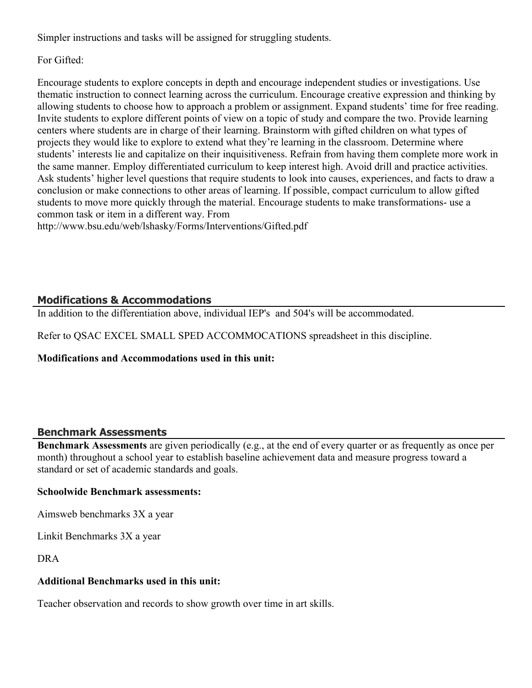Simpler instructions and tasks will be assigned for struggling students.

For Gifted:

Encourage students to explore concepts in depth and encourage independent studies or investigations. Use thematic instruction to connect learning across the curriculum. Encourage creative expression and thinking by allowing students to choose how to approach a problem or assignment. Expand students' time for free reading. Invite students to explore different points of view on a topic of study and compare the two. Provide learning centers where students are in charge of their learning. Brainstorm with gifted children on what types of projects they would like to explore to extend what they're learning in the classroom. Determine where students' interests lie and capitalize on their inquisitiveness. Refrain from having them complete more work in the same manner. Employ differentiated curriculum to keep interest high. Avoid drill and practice activities. Ask students' higher level questions that require students to look into causes, experiences, and facts to draw a conclusion or make connections to other areas of learning. If possible, compact curriculum to allow gifted students to move more quickly through the material. Encourage students to make transformations- use a common task or item in a different way. From

http://www.bsu.edu/web/lshasky/Forms/Interventions/Gifted.pdf

# **Modifications & Accommodations**

In addition to the differentiation above, individual IEP's and 504's will be accommodated.

Refer to QSAC EXCEL SMALL SPED ACCOMMOCATIONS spreadsheet in this discipline.

**Modifications and Accommodations used in this unit:**

# **Benchmark Assessments**

**Benchmark Assessments** are given periodically (e.g., at the end of every quarter or as frequently as once per month) throughout a school year to establish baseline achievement data and measure progress toward a standard or set of academic standards and goals.

# **Schoolwide Benchmark assessments:**

Aimsweb benchmarks 3X a year

Linkit Benchmarks 3X a year

DRA

# **Additional Benchmarks used in this unit:**

Teacher observation and records to show growth over time in art skills.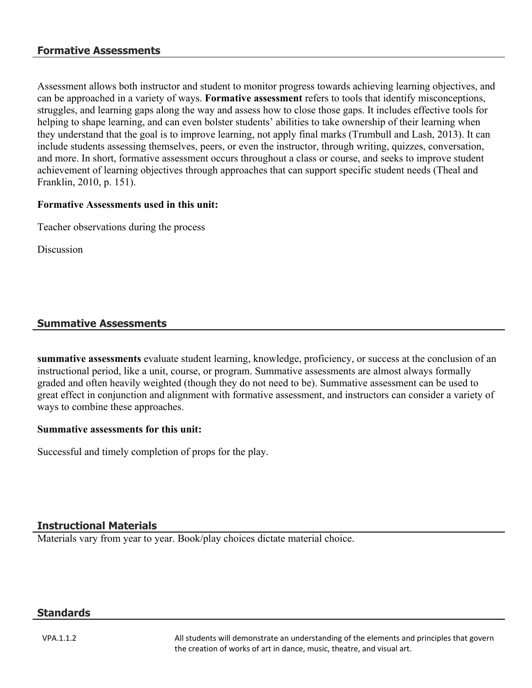## **Formative Assessments**

Assessment allows both instructor and student to monitor progress towards achieving learning objectives, and can be approached in a variety of ways. **Formative assessment** refers to tools that identify misconceptions, struggles, and learning gaps along the way and assess how to close those gaps. It includes effective tools for helping to shape learning, and can even bolster students' abilities to take ownership of their learning when they understand that the goal is to improve learning, not apply final marks (Trumbull and Lash, 2013). It can include students assessing themselves, peers, or even the instructor, through writing, quizzes, conversation, and more. In short, formative assessment occurs throughout a class or course, and seeks to improve student achievement of learning objectives through approaches that can support specific student needs (Theal and Franklin, 2010, p. 151).

## **Formative Assessments used in this unit:**

Teacher observations during the process

Discussion

## **Summative Assessments**

**summative assessments** evaluate student learning, knowledge, proficiency, or success at the conclusion of an instructional period, like a unit, course, or program. Summative assessments are almost always formally graded and often heavily weighted (though they do not need to be). Summative assessment can be used to great effect in conjunction and alignment with formative assessment, and instructors can consider a variety of ways to combine these approaches.

## **Summative assessments for this unit:**

Successful and timely completion of props for the play.

## **Instructional Materials**

Materials vary from year to year. Book/play choices dictate material choice.

## **Standards**